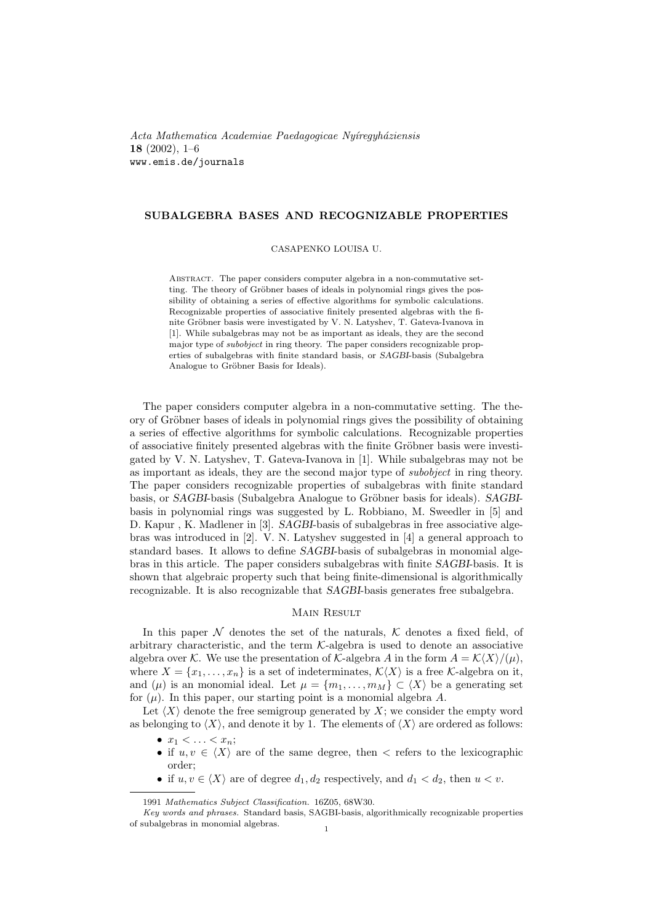Acta Mathematica Academiae Paedagogicae Nyíregyháziensis 18 (2002), 1–6 www.emis.de/journals

## SUBALGEBRA BASES AND RECOGNIZABLE PROPERTIES

CASAPENKO LOUISA U.

Abstract. The paper considers computer algebra in a non-commutative setting. The theory of Gröbner bases of ideals in polynomial rings gives the possibility of obtaining a series of effective algorithms for symbolic calculations. Recognizable properties of associative finitely presented algebras with the finite Gröbner basis were investigated by V. N. Latyshev, T. Gateva-Ivanova in [1]. While subalgebras may not be as important as ideals, they are the second major type of subobject in ring theory. The paper considers recognizable properties of subalgebras with finite standard basis, or SAGBI-basis (Subalgebra Analogue to Gröbner Basis for Ideals).

The paper considers computer algebra in a non-commutative setting. The theory of Gröbner bases of ideals in polynomial rings gives the possibility of obtaining a series of effective algorithms for symbolic calculations. Recognizable properties of associative finitely presented algebras with the finite Gröbner basis were investigated by V. N. Latyshev, T. Gateva-Ivanova in [1]. While subalgebras may not be as important as ideals, they are the second major type of subobject in ring theory. The paper considers recognizable properties of subalgebras with finite standard basis, or SAGBI-basis (Subalgebra Analogue to Gröbner basis for ideals). SAGBIbasis in polynomial rings was suggested by L. Robbiano, M. Sweedler in [5] and D. Kapur , K. Madlener in [3]. SAGBI-basis of subalgebras in free associative algebras was introduced in [2]. V. N. Latyshev suggested in [4] a general approach to standard bases. It allows to define SAGBI-basis of subalgebras in monomial algebras in this article. The paper considers subalgebras with finite SAGBI-basis. It is shown that algebraic property such that being finite-dimensional is algorithmically recognizable. It is also recognizable that SAGBI-basis generates free subalgebra.

## Main Result

In this paper  $\mathcal N$  denotes the set of the naturals,  $\mathcal K$  denotes a fixed field, of arbitrary characteristic, and the term  $K$ -algebra is used to denote an associative algebra over K. We use the presentation of K-algebra A in the form  $A = \mathcal{K}\langle X\rangle/(\mu)$ , where  $X = \{x_1, \ldots, x_n\}$  is a set of indeterminates,  $\mathcal{K}\langle X\rangle$  is a free K-algebra on it, and  $(\mu)$  is an monomial ideal. Let  $\mu = \{m_1, \ldots, m_M\} \subset \langle X \rangle$  be a generating set for  $(\mu)$ . In this paper, our starting point is a monomial algebra A.

Let  $\langle X \rangle$  denote the free semigroup generated by X; we consider the empty word as belonging to  $\langle X \rangle$ , and denote it by 1. The elements of  $\langle X \rangle$  are ordered as follows:

- $x_1 < \ldots < x_n$ ;
- if  $u, v \in \langle X \rangle$  are of the same degree, then  $\langle x \rangle$  refers to the lexicographic order;
- if  $u, v \in \langle X \rangle$  are of degree  $d_1, d_2$  respectively, and  $d_1 < d_2$ , then  $u < v$ .

<sup>1991</sup> Mathematics Subject Classification. 16Z05, 68W30.

Key words and phrases. Standard basis, SAGBI-basis, algorithmically recognizable properties of subalgebras in monomial algebras.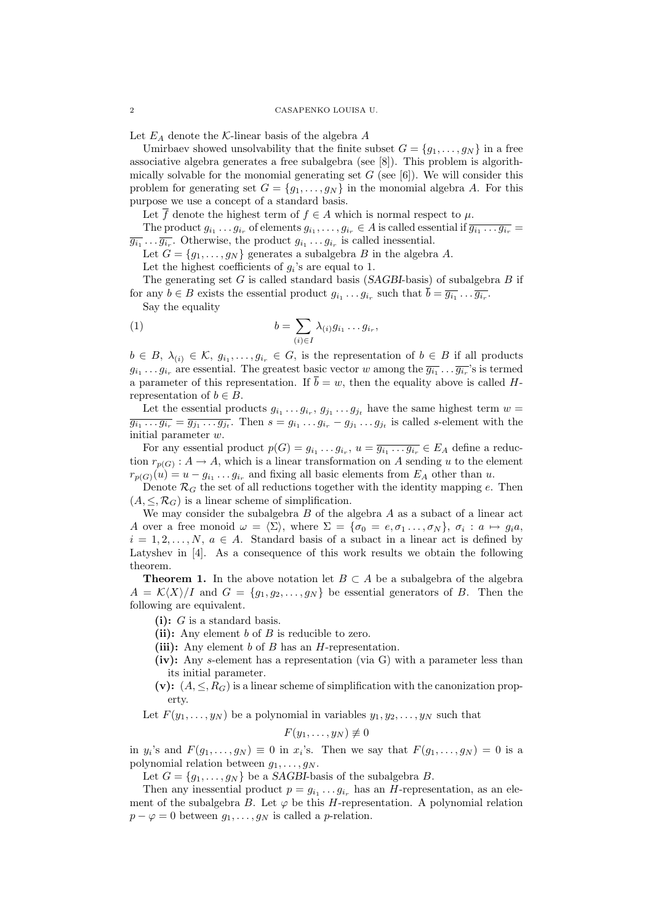Let  $E_A$  denote the K-linear basis of the algebra  $A$ 

Umirbaev showed unsolvability that the finite subset  $G = \{g_1, \ldots, g_N\}$  in a free associative algebra generates a free subalgebra (see [8]). This problem is algorithmically solvable for the monomial generating set  $G$  (see [6]). We will consider this problem for generating set  $G = \{g_1, \ldots, g_N\}$  in the monomial algebra A. For this purpose we use a concept of a standard basis.

Let  $\overline{f}$  denote the highest term of  $f \in A$  which is normal respect to  $\mu$ .

The product  $g_{i_1}\ldots g_{i_r}$  of elements  $g_{i_1},\ldots,g_{i_r}\in A$  is called essential if  $\overline{g_{i_1}\ldots g_{i_r}}=$  $\overline{g_{i_1} \ldots g_{i_r}}$ . Otherwise, the product  $g_{i_1} \ldots g_{i_r}$  is called inessential.

Let  $G = \{g_1, \ldots, g_N\}$  generates a subalgebra B in the algebra A.

Let the highest coefficients of  $g_i$ 's are equal to 1.

The generating set  $G$  is called standard basis (SAGBI-basis) of subalgebra  $B$  if for any  $b \in B$  exists the essential product  $g_{i_1} \ldots g_{i_r}$  such that  $\overline{b} = \overline{g_{i_1} \ldots g_{i_r}}$ .

Say the equality

(1) 
$$
b = \sum_{(i) \in I} \lambda_{(i)} g_{i_1} \dots g_{i_r},
$$

 $b \in B$ ,  $\lambda_{(i)} \in \mathcal{K}$ ,  $g_{i_1}, \ldots, g_{i_r} \in G$ , is the representation of  $b \in B$  if all products  $g_{i_1} \ldots g_{i_r}$  are essential. The greatest basic vector w among the  $\overline{g_{i_1}} \ldots \overline{g_{i_r}}$ 's is termed a parameter of this representation. If  $\overline{b} = w$ , then the equality above is called Hrepresentation of  $b \in B$ .

Let the essential products  $g_{i_1} \ldots g_{i_r}$ ,  $g_{j_1} \ldots g_{j_t}$  have the same highest term  $w =$  $\overline{g_{i_1} \ldots g_{i_r}} = \overline{g_{j_1} \ldots g_{j_t}}$ . Then  $s = g_{i_1} \ldots g_{i_r} - g_{j_1} \ldots g_{j_t}$  is called s-element with the initial parameter  $\boldsymbol{w}$ 

For any essential product  $p(G) = g_{i_1} \dots g_{i_r}$ ,  $u = \overline{g_{i_1} \dots g_{i_r}} \in E_A$  define a reduction  $r_{p(G)}: A \to A$ , which is a linear transformation on A sending u to the element  $r_{p(G)}(u) = u - g_{i_1} \dots g_{i_r}$  and fixing all basic elements from  $E_A$  other than u.

Denote  $\mathcal{R}_G$  the set of all reductions together with the identity mapping e. Then  $(A, \leq, \mathcal{R}_G)$  is a linear scheme of simplification.

We may consider the subalgebra  $B$  of the algebra  $A$  as a subact of a linear act A over a free monoid  $\omega = \langle \Sigma \rangle$ , where  $\Sigma = {\sigma_0 = e, \sigma_1 \dots, \sigma_N}$ ,  $\sigma_i : a \mapsto g_i a$ ,  $i = 1, 2, \ldots, N, a \in A$ . Standard basis of a subact in a linear act is defined by Latyshev in [4]. As a consequence of this work results we obtain the following theorem.

**Theorem 1.** In the above notation let  $B \subset A$  be a subalgebra of the algebra  $A = \mathcal{K}\langle X \rangle / I$  and  $G = \{g_1, g_2, \ldots, g_N\}$  be essential generators of B. Then the following are equivalent.

 $(i): G$  is a standard basis.

(ii): Any element  $b$  of  $B$  is reducible to zero.

(iii): Any element  $b$  of  $B$  has an  $H$ -representation.

- (iv): Any s-element has a representation (via  $G$ ) with a parameter less than its initial parameter.
- (v):  $(A, \leq, R_G)$  is a linear scheme of simplification with the canonization property.

Let  $F(y_1, \ldots, y_N)$  be a polynomial in variables  $y_1, y_2, \ldots, y_N$  such that

 $F(y_1, \ldots, y_N) \not\equiv 0$ 

in  $y_i$ 's and  $F(g_1, \ldots, g_N) \equiv 0$  in  $x_i$ 's. Then we say that  $F(g_1, \ldots, g_N) = 0$  is a polynomial relation between  $g_1, \ldots, g_N$ .

Let  $G = \{g_1, \ldots, g_N\}$  be a SAGBI-basis of the subalgebra B.

Then any inessential product  $p = g_{i_1} \dots g_{i_r}$  has an H-representation, as an element of the subalgebra B. Let  $\varphi$  be this H-representation. A polynomial relation  $p - \varphi = 0$  between  $g_1, \ldots, g_N$  is called a *p*-relation.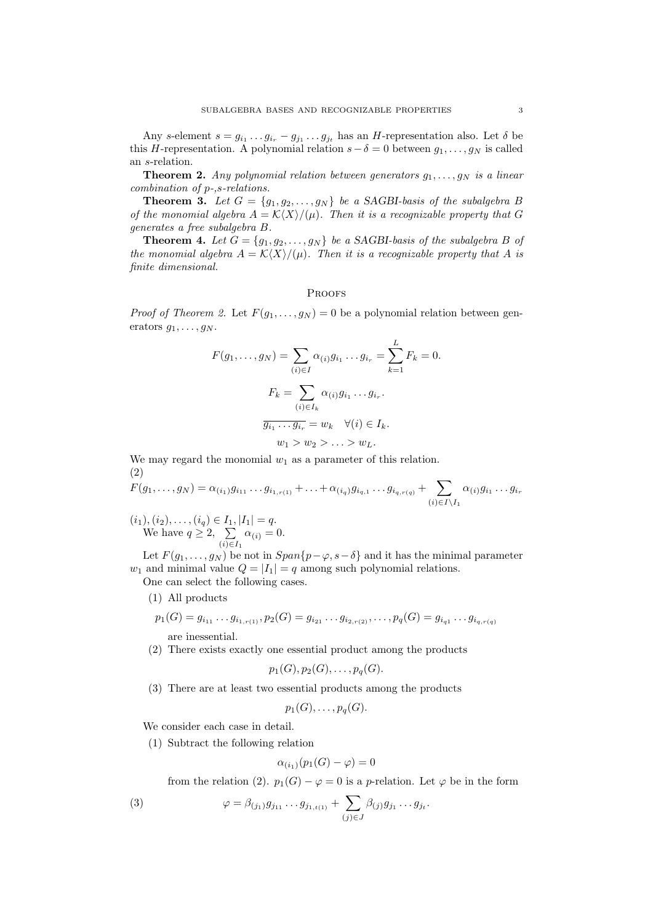Any s-element  $s = g_{i_1} \dots g_{i_r} - g_{j_1} \dots g_{j_t}$  has an H-representation also. Let  $\delta$  be this H-representation. A polynomial relation  $s-\delta=0$  between  $g_1, \ldots, g_N$  is called an s-relation.

**Theorem 2.** Any polynomial relation between generators  $q_1, \ldots, q_N$  is a linear combination of p-,s-relations.

**Theorem 3.** Let  $G = \{g_1, g_2, \ldots, g_N\}$  be a SAGBI-basis of the subalgebra B of the monomial algebra  $A = \mathcal{K}\langle X\rangle/(\mu)$ . Then it is a recognizable property that G generates a free subalgebra B.

**Theorem 4.** Let  $G = \{g_1, g_2, \ldots, g_N\}$  be a SAGBI-basis of the subalgebra B of the monomial algebra  $A = \mathcal{K}\langle X\rangle/(\mu)$ . Then it is a recognizable property that A is finite dimensional.

# PROOFS

*Proof of Theorem 2.* Let  $F(g_1, \ldots, g_N) = 0$  be a polynomial relation between generators  $g_1, \ldots, g_N$ .

$$
F(g_1, \dots, g_N) = \sum_{(i) \in I} \alpha_{(i)} g_{i_1} \dots g_{i_r} = \sum_{k=1}^L F_k = 0.
$$

$$
F_k = \sum_{(i) \in I_k} \alpha_{(i)} g_{i_1} \dots g_{i_r}.
$$

$$
\overline{g_{i_1} \dots g_{i_r}} = w_k \quad \forall (i) \in I_k.
$$

$$
w_1 > w_2 > \dots > w_L.
$$

We may regard the monomial  $w_1$  as a parameter of this relation. (2)

$$
F(g_1, \ldots, g_N) = \alpha_{(i_1)} g_{i_{11}} \ldots g_{i_{1,r(1)}} + \ldots + \alpha_{(i_q)} g_{i_{q,1}} \ldots g_{i_{q,r(q)}} + \sum_{(i) \in I \setminus I_1} \alpha_{(i)} g_{i_1} \ldots g_{i_r}
$$

 $(i_1), (i_2), \ldots, (i_q) \in I_1, |I_1| = q.$ We have  $q \geq 2$ ,  $\sum$  $(i) \in I_1$  $\alpha_{(i)} = 0.$ 

Let  $F(g_1, \ldots, g_N)$  be not in  $Span\{p-\varphi, s-\delta\}$  and it has the minimal parameter  $w_1$  and minimal value  $Q = |I_1| = q$  among such polynomial relations.

One can select the following cases.

(1) All products

$$
p_1(G) = g_{i_{11}} \dots g_{i_{1,r(1)}}, p_2(G) = g_{i_{21}} \dots g_{i_{2,r(2)}}, \dots, p_q(G) = g_{i_{q1}} \dots g_{i_{q,r(q)}}
$$

are inessential.

(2) There exists exactly one essential product among the products

$$
p_1(G), p_2(G), \ldots, p_q(G).
$$

(3) There are at least two essential products among the products

 $p_1(G), \ldots, p_q(G).$ 

We consider each case in detail.

(1) Subtract the following relation

$$
\alpha_{(i_1)}(p_1(G) - \varphi) = 0
$$

from the relation (2).  $p_1(G) - \varphi = 0$  is a p-relation. Let  $\varphi$  be in the form

(3) 
$$
\varphi = \beta_{(j_1)} g_{j_{11}} \dots g_{j_{1,t(1)}} + \sum_{(j) \in J} \beta_{(j)} g_{j_1} \dots g_{j_t}.
$$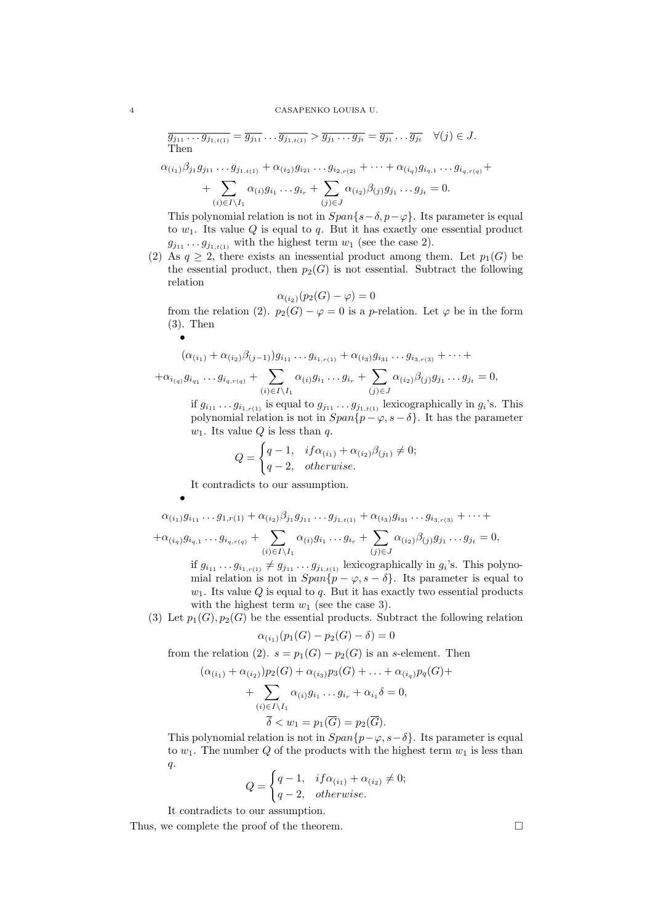#### 4 CASAPENKO LOUISA U.

$$
\overline{g_{j_{11}}\dots g_{j_{1,t(1)}}} = \overline{g_{j_{11}}\dots g_{j_{1,t(1)}}} > \overline{g_{j_1}\dots g_{j_t}} = \overline{g_{j_1}}\dots \overline{g_{j_t}} \quad \forall (j) \in J.
$$
  
Then

$$
\alpha_{(i_1)}\beta_{j_1}g_{j_{11}}\dots g_{j_{1,t(1)}} + \alpha_{(i_2)}g_{i_{21}}\dots g_{i_{2,r(2)}} + \dots + \alpha_{(i_q)}g_{i_{q,1}}\dots g_{i_{q,r(q)}} +
$$

+ 
$$
\sum_{(i) \in I \setminus I_1} \alpha_{(i)} g_{i_1} \dots g_{i_r} + \sum_{(j) \in J} \alpha_{(i_2)} \beta_{(j)} g_{j_1} \dots g_{j_t} = 0.
$$

This polynomial relation is not in  $Span\{s-\delta, p-\varphi\}$ . Its parameter is equal to  $w_1$ . Its value Q is equal to q. But it has exactly one essential product  $g_{j_{11}} \ldots g_{j_{1,t(1)}}$  with the highest term  $w_1$  (see the case 2).

(2) As  $q \geq 2$ , there exists an inessential product among them. Let  $p_1(G)$  be the essential product, then  $p_2(G)$  is not essential. Subtract the following relation

$$
\alpha_{(i_2)}(p_2(G) - \varphi) = 0
$$

from the relation (2).  $p_2(G) - \varphi = 0$  is a p-relation. Let  $\varphi$  be in the form (3). Then

$$
(\alpha_{(i_1)} + \alpha_{(i_2)}\beta_{(j-1)})g_{i_{11}}\dots g_{i_{1,r(1)}} + \alpha_{(i_3)}g_{i_{31}}\dots g_{i_{3,r(3)}} + \dots + + \alpha_{i_{(q)}}g_{i_{q_1}}\dots g_{i_{q,r(q)}} + \sum_{(i) \in I \setminus I_1} \alpha_{(i)}g_{i_1}\dots g_{i_r} + \sum_{(j) \in J} \alpha_{(i_2)}\beta_{(j)}g_{j_1}\dots g_{j_t} = 0,
$$

if  $g_{i_1}, \ldots, g_{i_{1,r(1)}}$  is equal to  $g_{j_1}, \ldots, g_{j_{1,t(1)}}$  lexicographically in  $g_i$ 's. This polynomial relation is not in  $Span\{p - \varphi, s - \delta\}$ . It has the parameter  $w_1$ . Its value Q is less than q.

$$
Q = \begin{cases} q - 1, & if \alpha_{(i_1)} + \alpha_{(i_2)} \beta_{(j_1)} \neq 0; \\ q - 2, & otherwise. \end{cases}
$$

It contradicts to our assumption.

$$
\alpha_{(i_1)} g_{i_{11}} \dots g_{1,r(1)} + \alpha_{(i_2)} \beta_{j_1} g_{j_{11}} \dots g_{j_{1,t(1)}} + \alpha_{(i_3)} g_{i_{31}} \dots g_{i_{3,r(3)}} + \dots +
$$
  
+
$$
\alpha_{(i_q)} g_{i_{q,1}} \dots g_{i_{q,r(q)}} + \sum_{(i) \in I \setminus I_1} \alpha_{(i)} g_{i_1} \dots g_{i_r} + \sum_{(j) \in J} \alpha_{(i_2)} \beta_{(j)} g_{j_1} \dots g_{j_t} = 0,
$$
  
if  $g_i$ ,  $g_i$ ,  $g_j$ , and  $g_i$  is also a linearly independent, and

if  $g_{i_{11}} \tildot g_{i_{1r(1)}} \neq g_{j_{11}} \tildot g_{j_{1,t(1)}}$  lexicographically in  $g_i$ 's. This polynomial relation is not in  $Span\{p - \varphi, s - \delta\}$ . Its parameter is equal to  $w_1$ . Its value Q is equal to q. But it has exactly two essential products with the highest term  $w_1$  (see the case 3).

(3) Let  $p_1(G), p_2(G)$  be the essential products. Subtract the following relation

$$
\alpha_{(i_1)}(p_1(G) - p_2(G) - \delta) = 0
$$

from the relation (2).  $s = p_1(G) - p_2(G)$  is an s-element. Then

$$
(\alpha_{(i_1)} + \alpha_{(i_2)})p_2(G) + \alpha_{(i_3)}p_3(G) + \dots + \alpha_{(i_q)}p_q(G) +
$$
  
+ 
$$
\sum_{(i) \in I \setminus I_1} \alpha_{(i)}g_{i_1} \dots g_{i_r} + \alpha_{i_1}\delta = 0,
$$
  

$$
\overline{\delta} < w_1 = p_1(\overline{G}) = p_2(\overline{G}).
$$

This polynomial relation is not in  $Span\{p-\varphi, s-\delta\}$ . Its parameter is equal to  $w_1$ . The number Q of the products with the highest term  $w_1$  is less than q.

$$
Q = \begin{cases} q - 1, & if \alpha_{(i_1)} + \alpha_{(i_2)} \neq 0; \\ q - 2, & otherwise. \end{cases}
$$

It contradicts to our assumption.

Thus, we complete the proof of the theorem.  $\Box$ 

•

•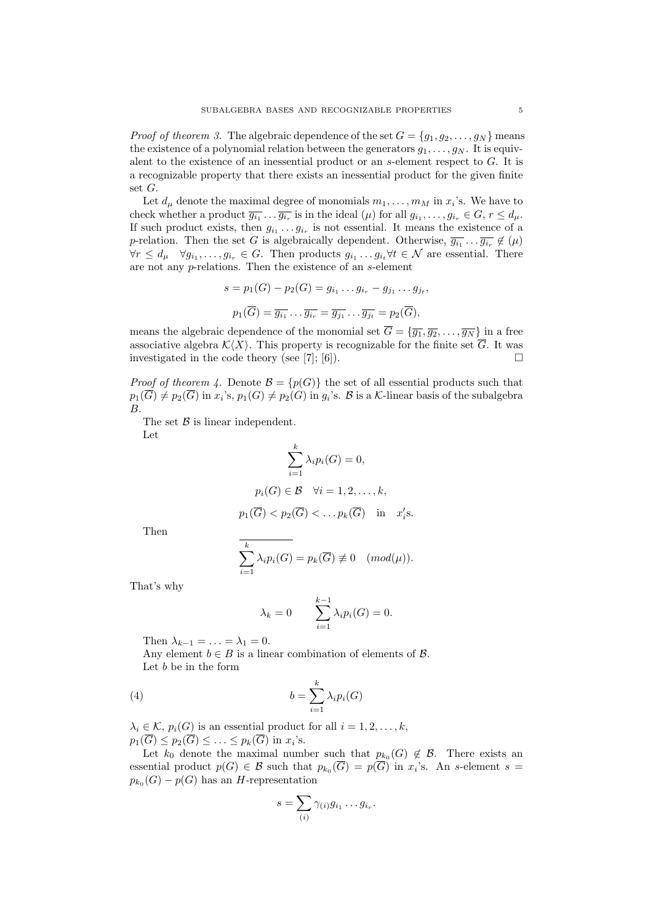*Proof of theorem 3.* The algebraic dependence of the set  $G = \{g_1, g_2, \ldots, g_N\}$  means the existence of a polynomial relation between the generators  $g_1, \ldots, g_N$ . It is equivalent to the existence of an inessential product or an s-element respect to G. It is a recognizable property that there exists an inessential product for the given finite set G.

Let  $d_{\mu}$  denote the maximal degree of monomials  $m_1, \ldots, m_M$  in  $x_i$ 's. We have to check whether a product  $\overline{g_{i_1} \ldots \overline{g_{i_r}}}$  is in the ideal  $(\mu)$  for all  $g_{i_1}, \ldots, g_{i_r} \in G, r \leq d_{\mu}$ . If such product exists, then  $g_{i_1} \ldots g_{i_r}$  is not essential. It means the existence of a p-relation. Then the set G is algebraically dependent. Otherwise,  $\overline{g_{i_1}} \dots \overline{g_{i_r}} \notin (\mu)$  $\forall r \leq d_{\mu} \quad \forall g_{i_1}, \ldots, g_{i_r} \in G.$  Then products  $g_{i_1} \ldots g_{i_t} \forall t \in \mathcal{N}$  are essential. There are not any p-relations. Then the existence of an s-element

$$
s = p_1(G) - p_2(G) = g_{i_1} \dots g_{i_r} - g_{j_1} \dots g_{j_t},
$$
  

$$
p_1(\overline{G}) = \overline{g_{i_1}} \dots \overline{g_{i_r}} = \overline{g_{j_1}} \dots \overline{g_{j_t}} = p_2(\overline{G}),
$$

means the algebraic dependence of the monomial set  $\overline{G} = {\overline{q_1}, \overline{q_2}, \ldots, \overline{q_N}}$  in a free associative algebra  $\mathcal{K}\langle X\rangle$ . This property is recognizable for the finite set  $\overline{G}$ . It was investigated in the code theory (see [7]; [6]).  $\square$ 

*Proof of theorem 4.* Denote  $\mathcal{B} = \{p(G)\}\$ the set of all essential products such that  $p_1(\overline{G})\neq p_2(\overline{G})$  in  $x_i$ 's,  $p_1(G)\neq p_2(G)$  in  $g_i$ 's. B is a K-linear basis of the subalgebra B.

The set  $\beta$  is linear independent. Let

$$
\sum_{i=1}^{k} \lambda_i p_i(G) = 0,
$$
  
\n
$$
p_i(G) \in \mathcal{B} \quad \forall i = 1, 2, ..., k,
$$
  
\n
$$
p_1(\overline{G}) < p_2(\overline{G}) < ... p_k(\overline{G}) \quad \text{in} \quad x_i's.
$$

Then

$$
\overline{\sum_{i=1}^{k} \lambda_i p_i(G)} = p_k(\overline{G}) \not\equiv 0 \quad (mod(\mu)).
$$

That's why

$$
\lambda_k = 0 \qquad \sum_{i=1}^{k-1} \lambda_i p_i(G) = 0.
$$

Then  $\lambda_{k-1} = \ldots = \lambda_1 = 0$ .

Any element  $b \in B$  is a linear combination of elements of  $\mathcal{B}$ . Let b be in the form

(4) 
$$
b = \sum_{i=1}^{k} \lambda_i p_i(G)
$$

 $\lambda_i \in \mathcal{K}, p_i(G)$  is an essential product for all  $i = 1, 2, \ldots, k$ ,  $p_1(\overline{G}) \leq p_2(\overline{G}) \leq \ldots \leq p_k(\overline{G})$  in  $x_i$ 's.

Let  $k_0$  denote the maximal number such that  $p_{k_0}(G) \notin \mathcal{B}$ . There exists an essential product  $p(G) \in \mathcal{B}$  such that  $p_{k_0}(\overline{G}) = p(\overline{G})$  in  $x_i$ 's. An s-element  $s =$  $p_{k_0}(G) - p(G)$  has an H-representation

$$
s = \sum_{(i)} \gamma_{(i)} g_{i_1} \dots g_{i_r}.
$$